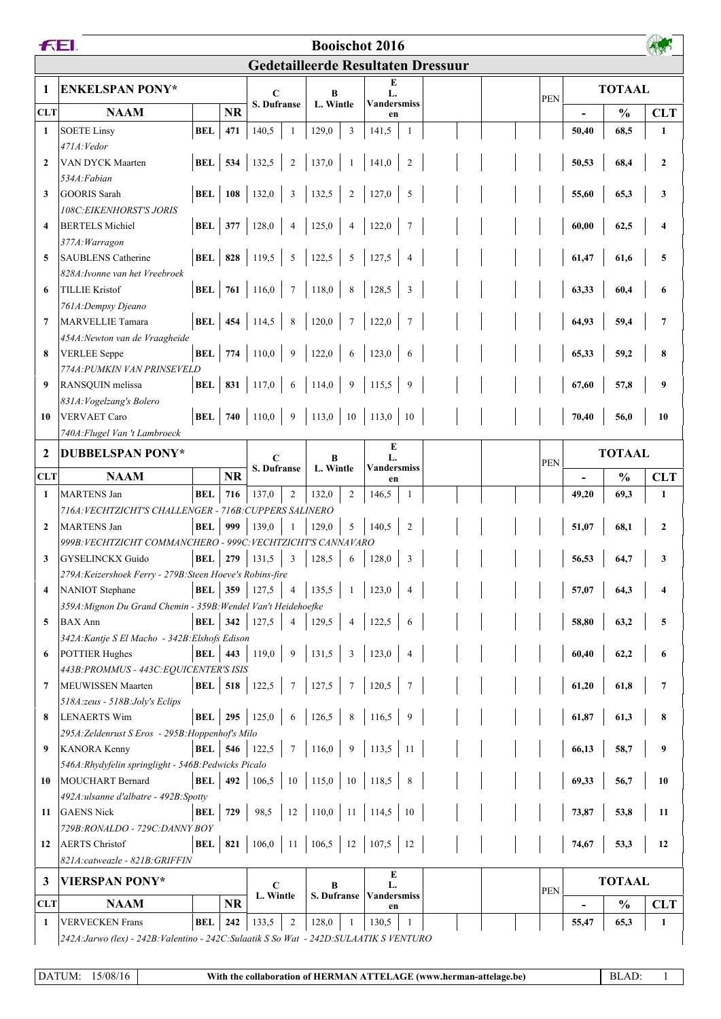|                                           | FEI.<br><b>Booischot 2016</b>                                                            |                  |                  |                                                   |                |                         |                 |                          |                  |  |                          |            |               |               |                  |  |  |  |
|-------------------------------------------|------------------------------------------------------------------------------------------|------------------|------------------|---------------------------------------------------|----------------|-------------------------|-----------------|--------------------------|------------------|--|--------------------------|------------|---------------|---------------|------------------|--|--|--|
| <b>Gedetailleerde Resultaten Dressuur</b> |                                                                                          |                  |                  |                                                   |                |                         |                 |                          |                  |  |                          |            |               |               |                  |  |  |  |
| 1                                         | <b>ENKELSPAN PONY*</b>                                                                   |                  |                  |                                                   |                |                         |                 | E                        |                  |  |                          |            |               |               |                  |  |  |  |
|                                           |                                                                                          |                  |                  | $\mathbf C$<br><b>S. Dufranse</b>                 |                | B<br>L. Wintle          |                 | L.<br><b>Vandersmiss</b> |                  |  |                          | <b>PEN</b> | <b>TOTAAL</b> |               |                  |  |  |  |
| <b>CLT</b>                                | <b>NAAM</b>                                                                              |                  | <b>NR</b>        |                                                   |                |                         |                 | en                       |                  |  |                          |            |               | $\frac{0}{0}$ | <b>CLT</b>       |  |  |  |
| $\mathbf{1}$                              | <b>SOETE Linsy</b>                                                                       | <b>BEL</b>       | 471              | 140,5                                             | 1              | 129,0                   | $\overline{3}$  | 141,5                    | 1                |  |                          |            | 50,40         | 68,5          | 1                |  |  |  |
| $\overline{2}$                            | 471A: Vedor<br>VAN DYCK Maarten                                                          | BEL              | 534              | 132,5                                             | $\overline{2}$ | 137,0                   | -1              | 141,0                    | $\overline{2}$   |  |                          |            | 50,53         | 68,4          | $\mathbf{2}$     |  |  |  |
|                                           | 534A:Fabian                                                                              |                  |                  |                                                   |                |                         |                 |                          |                  |  |                          |            |               |               |                  |  |  |  |
| 3                                         | <b>GOORIS Sarah</b>                                                                      | <b>BEL</b>   108 |                  | 132,0                                             | 3              | 132,5                   | $\overline{2}$  | 127,0                    | 5                |  |                          |            | 55,60         | 65,3          | 3                |  |  |  |
|                                           | <b>108C: EIKENHORST'S JORIS</b>                                                          |                  |                  |                                                   |                |                         |                 |                          |                  |  |                          |            |               |               |                  |  |  |  |
| $\overline{\mathbf{4}}$                   | <b>BERTELS Michiel</b>                                                                   | <b>BEL</b>       | 377              | 128,0                                             | $\overline{4}$ | 125,0                   | $\overline{4}$  | 122,0                    |                  |  |                          |            | 60,00         | 62,5          |                  |  |  |  |
|                                           | 377A: Warragon                                                                           |                  |                  |                                                   |                |                         |                 |                          |                  |  |                          |            |               |               |                  |  |  |  |
| 5                                         | <b>SAUBLENS Catherine</b>                                                                | <b>BEL</b>       | 828              | 119,5                                             | 5              | 122,5                   | 5               | 127,5                    | $\overline{4}$   |  |                          |            | 61,47         | 61,6          | 5                |  |  |  |
| 6                                         | 828A: Ivonne van het Vreebroek<br><b>TILLIE Kristof</b>                                  | <b>BEL</b>       | 761              | 116,0                                             | $\tau$         | 118,0                   | 8               | 128,5                    | 3                |  |                          |            | 63,33         | 60,4          | 6                |  |  |  |
|                                           | 761A: Dempsy Djeano                                                                      |                  |                  |                                                   |                |                         |                 |                          |                  |  |                          |            |               |               |                  |  |  |  |
| $\overline{7}$                            | <b>MARVELLIE Tamara</b>                                                                  | <b>BEL</b>       | 454              | 114,5                                             | $\,8\,$        | 120,0                   | $7\phantom{.0}$ | 122,0                    |                  |  |                          |            | 64,93         | 59,4          | 7                |  |  |  |
|                                           | 454A: Newton van de Vraagheide                                                           |                  |                  |                                                   |                |                         |                 |                          |                  |  |                          |            |               |               |                  |  |  |  |
| 8                                         | <b>VERLEE</b> Seppe                                                                      | <b>BEL</b> 774   |                  | 110,0                                             | 9              | 122,0                   | 6               | 123,0                    | 6                |  |                          |            | 65,33         | 59,2          | 8                |  |  |  |
|                                           | 774A:PUMKIN VAN PRINSEVELD                                                               |                  |                  |                                                   |                |                         |                 |                          |                  |  |                          |            |               |               |                  |  |  |  |
| -9                                        | RANSQUIN melissa                                                                         | BEL              | 831              | 117,0                                             | 6              | 114,0                   | 9               | 115,5                    | 9                |  |                          |            | 67,60         | 57,8          | 9                |  |  |  |
|                                           | 831A: Vogelzang's Bolero                                                                 |                  |                  |                                                   |                |                         |                 |                          |                  |  |                          |            |               |               |                  |  |  |  |
| 10                                        | <b>VERVAET Caro</b>                                                                      | BEL $\vert$ 740  |                  | 110,0                                             | 9              | 113,0                   | 10              | 113,0                    | 10               |  |                          |            | 70,40         | 56,0          | 10               |  |  |  |
|                                           | 740A: Flugel Van 't Lambroeck                                                            |                  |                  |                                                   |                |                         |                 | E                        |                  |  |                          |            |               |               |                  |  |  |  |
| $\mathbf{2}$                              | <b>DUBBELSPAN PONY*</b>                                                                  |                  |                  | C<br>S. Dufranse                                  |                | B<br>L. Wintle          |                 | L.<br><b>Vandersmiss</b> |                  |  |                          | <b>PEN</b> |               | <b>TOTAAL</b> |                  |  |  |  |
| <b>CLT</b>                                | <b>NAAM</b>                                                                              |                  | <b>NR</b>        |                                                   |                |                         |                 | en                       |                  |  |                          |            |               | $\frac{0}{0}$ | <b>CLT</b>       |  |  |  |
| 1                                         | <b>MARTENS Jan</b>                                                                       | BEL              | 716              | 137,0                                             | $\overline{2}$ | 132,0                   | $\sqrt{2}$      | 146,5                    | -1               |  |                          |            | 49,20         | 69,3          | $\mathbf{1}$     |  |  |  |
|                                           | 716A: VECHTZICHT'S CHALLENGER - 716B: CUPPERS SALINERO                                   |                  |                  |                                                   |                |                         |                 |                          |                  |  |                          |            |               |               |                  |  |  |  |
| $\overline{2}$                            | <b>MARTENS Jan</b>                                                                       | BEL              | 999              | 139,0                                             | $\overline{1}$ | 129,0                   | 5               | 140,5                    | 2                |  |                          |            | 51,07         | 68,1          | $\boldsymbol{2}$ |  |  |  |
| 3                                         | 999B: VECHTZICHT COMMANCHERO - 999C: VECHTZICHT'S CANNAVARO<br><b>GYSELINCKX Guido</b>   | BEL              | 279              | 131,5                                             | 3              | 128,5                   | 6               | 128,0                    | $\overline{3}$   |  |                          |            | 56,53         | 64,7          | 3                |  |  |  |
|                                           | 279A: Keizershoek Ferry - 279B: Steen Hoeve's Robins-fire                                |                  |                  |                                                   |                |                         |                 |                          |                  |  |                          |            |               |               |                  |  |  |  |
| $\overline{4}$                            | <b>NANIOT</b> Stephane                                                                   |                  | <b>BEL</b> 359   | 127,5                                             | $\overline{4}$ | 135,5                   |                 | 123,0                    |                  |  |                          |            | 57,07         | 64,3          |                  |  |  |  |
|                                           | 359A: Mignon Du Grand Chemin - 359B: Wendel Van't Heidehoefke                            |                  |                  |                                                   |                |                         |                 |                          |                  |  |                          |            |               |               |                  |  |  |  |
| 5                                         | <b>BAX</b> Ann                                                                           | BEL $342$        |                  | 127,5                                             | $\overline{4}$ | 129,5                   | $\overline{4}$  | 122,5                    | 6                |  |                          |            | 58,80         | 63,2          | 5                |  |  |  |
|                                           | 342A: Kantje S El Macho - 342B: Elshofs Edison                                           |                  |                  |                                                   |                |                         |                 |                          |                  |  |                          |            |               |               |                  |  |  |  |
| -6                                        | <b>POTTIER Hughes</b>                                                                    | <b>BEL</b>       | 443              | 119,0                                             | $\overline{9}$ | 131,5                   | $\mathfrak{Z}$  | 123,0                    | $\overline{4}$   |  |                          |            | 60,40         | 62,2          | 6                |  |  |  |
| 7                                         | 443B: PROMMUS - 443C: EQUICENTER'S ISIS<br><b>MEUWISSEN Maarten</b>                      | BEL $\vert$ 518  |                  | 122,5                                             | $\overline{7}$ | 127,5                   | $7\phantom{.0}$ | 120,5                    |                  |  |                          |            | 61,20         | 61,8          | $\overline{7}$   |  |  |  |
|                                           | 518A:zeus - 518B:Joly's Eclips                                                           |                  |                  |                                                   |                |                         |                 |                          |                  |  |                          |            |               |               |                  |  |  |  |
| 8                                         | <b>LENAERTS Wim</b>                                                                      |                  | <b>BEL</b>   295 | 125,0                                             | 6              | 126,5                   | 8               | 116,5                    | 9                |  |                          |            | 61,87         | 61,3          | 8                |  |  |  |
|                                           | 295A: Zeldenrust S Eros - 295B: Hoppenhof's Milo                                         |                  |                  |                                                   |                |                         |                 |                          |                  |  |                          |            |               |               |                  |  |  |  |
| 9                                         | <b>KANORA Kenny</b>                                                                      |                  |                  | <b>BEL</b>   546   122,5   7   116,0              |                |                         | 9               | $113,5$ 11               |                  |  |                          |            | 66,13         | 58,7          | 9                |  |  |  |
|                                           | 546A:Rhydyfelin springlight - 546B:Pedwicks Picalo                                       |                  |                  |                                                   |                |                         |                 |                          |                  |  |                          |            |               |               |                  |  |  |  |
| 10                                        | MOUCHART Bernard                                                                         | BEL $ 492 $      |                  | 106,5                                             |                | $10 \mid 115,0 \mid 10$ |                 | 118,5                    | 8                |  |                          |            | 69,33         | 56,7          | 10               |  |  |  |
|                                           | 492A:ulsanne d'albatre - 492B:Spotty                                                     | <b>BEL</b>   729 |                  | 98,5                                              | 12             | 110,0                   | <b>11</b>       |                          |                  |  |                          |            |               |               |                  |  |  |  |
| 11                                        | <b>GAENS Nick</b><br>729B:RONALDO - 729C:DANNY BOY                                       |                  |                  |                                                   |                |                         |                 | $114,5$ 10               |                  |  |                          |            | 73,87         | 53,8          | 11               |  |  |  |
| 12                                        | <b>AERTS</b> Christof                                                                    |                  |                  | <b>BEL</b>   <b>821</b>   106,0   11   106,5   12 |                |                         |                 | $107,5$ 12               |                  |  |                          |            | 74,67         | 53,3          | 12               |  |  |  |
|                                           | 821A:catweazle - 821B:GRIFFIN                                                            |                  |                  |                                                   |                |                         |                 |                          |                  |  |                          |            |               |               |                  |  |  |  |
| 3                                         | <b>VIERSPAN PONY*</b>                                                                    |                  |                  |                                                   |                | E                       |                 |                          |                  |  |                          |            | <b>TOTAAL</b> |               |                  |  |  |  |
|                                           |                                                                                          |                  |                  |                                                   | C<br>L. Wintle |                         |                 |                          | в<br>S. Dufranse |  | L.<br><b>Vandersmiss</b> |            |               |               | PEN              |  |  |  |
| <b>CLT</b>                                | <b>NAAM</b>                                                                              |                  | <b>NR</b>        |                                                   |                |                         |                 | en                       |                  |  |                          |            |               | $\frac{0}{0}$ | <b>CLT</b>       |  |  |  |
| 1                                         | <b>VERVECKEN Frans</b>                                                                   | BEL              | 242              | 133,5                                             | $\overline{c}$ | 128,0                   | -1              | 130,5                    | -1               |  |                          |            | 55,47         | 65,3          | 1                |  |  |  |
|                                           | 242A: Jarwo (lex) - 242B: Valentino - 242C: Sulaatik S So Wat - 242D: SULAATIK S VENTURO |                  |                  |                                                   |                |                         |                 |                          |                  |  |                          |            |               |               |                  |  |  |  |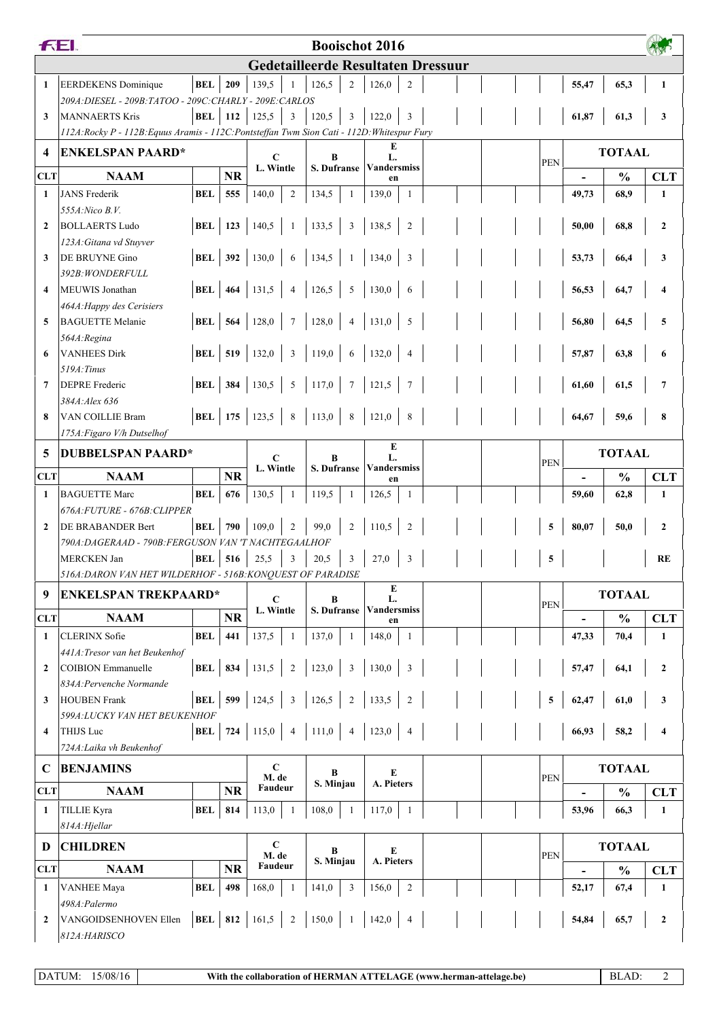|                                           | <b>FEI</b>                                                                                       |                |                  |                          |                         |             |                         | <b>Booischot 2016</b>    |                |  |               |            |                          |               |                  |
|-------------------------------------------|--------------------------------------------------------------------------------------------------|----------------|------------------|--------------------------|-------------------------|-------------|-------------------------|--------------------------|----------------|--|---------------|------------|--------------------------|---------------|------------------|
| <b>Gedetailleerde Resultaten Dressuur</b> |                                                                                                  |                |                  |                          |                         |             |                         |                          |                |  |               |            |                          |               |                  |
| $\mathbf{1}$                              | <b>EERDEKENS</b> Dominique                                                                       | <b>BEL</b>     | 209              | 139,5                    |                         | 126,5       | $\overline{2}$          | 126,0                    | $\overline{c}$ |  |               |            | 55,47                    | 65,3          | $\mathbf{1}$     |
|                                           | 209A: DIESEL - 209B: TATOO - 209C: CHARLY - 209E: CARLOS                                         |                |                  |                          |                         |             |                         |                          |                |  |               |            |                          |               |                  |
| 3                                         | <b>MANNAERTS Kris</b>                                                                            | <b>BEL</b> 112 |                  | 125,5                    | $\overline{3}$          | 120,5       | 3                       | 122,0                    | 3              |  |               |            | 61,87                    | 61,3          | 3                |
|                                           | 112A: Rocky P - 112B: Equus Aramis - 112C: Pontsteffan Twm Sion Cati - 112D: Whitespur Fury<br>E |                |                  |                          |                         |             |                         |                          |                |  |               |            |                          |               |                  |
| $\boldsymbol{4}$                          | <b>ENKELSPAN PAARD*</b>                                                                          |                |                  | C                        |                         | R           |                         | L.<br><b>Vandersmiss</b> |                |  |               | <b>PEN</b> |                          | <b>TOTAAL</b> |                  |
| <b>CLT</b>                                | <b>NAAM</b>                                                                                      |                | <b>NR</b>        | L. Wintle                |                         | S. Dufranse |                         | en                       |                |  |               |            |                          | $\frac{0}{0}$ | <b>CLT</b>       |
| $\mathbf{1}$                              | <b>JANS</b> Frederik                                                                             | <b>BEL</b>     | 555              | 140,0                    | $\overline{2}$          | 134,5       | $\mathbf{1}$            | 139,0                    | 1              |  |               |            | 49,73                    | 68,9          | 1                |
|                                           | 555A: Nico B.V.                                                                                  |                |                  |                          |                         |             |                         |                          |                |  |               |            |                          |               |                  |
| $\overline{2}$                            | <b>BOLLAERTS Ludo</b>                                                                            |                | <b>BEL</b>   123 | 140,5                    | -1                      | 133,5       | $\overline{3}$          | 138,5                    | $\overline{2}$ |  |               |            | 50,00                    | 68,8          | $\boldsymbol{2}$ |
|                                           | 123A: Gitana vd Stuyver                                                                          |                |                  |                          |                         |             |                         |                          |                |  |               |            |                          |               |                  |
| 3                                         | <b>DE BRUYNE Gino</b>                                                                            | BEL            | 392              | 130,0                    | 6                       | 134,5       | $\overline{1}$          | 134,0                    | 3              |  |               |            | 53,73                    | 66,4          | 3                |
|                                           | 392B: WONDERFULL                                                                                 |                |                  |                          |                         |             |                         |                          |                |  |               |            |                          |               |                  |
| $\boldsymbol{4}$                          | MEUWIS Jonathan                                                                                  | <b>BEL</b>     | 464              | 131,5                    | $\overline{4}$          | 126,5       | $5\overline{5}$         | 130,0                    | 6              |  |               |            | 56,53                    | 64,7          |                  |
|                                           | 464A: Happy des Cerisiers                                                                        |                |                  |                          |                         |             |                         |                          |                |  |               |            |                          |               |                  |
| 5                                         | <b>BAGUETTE Melanie</b>                                                                          | BEL            | 564              | 128,0                    | $7\phantom{.0}$         | 128,0       | $\overline{\mathbf{4}}$ | 131,0                    | $\sqrt{5}$     |  |               |            | 56,80                    | 64,5          | 5                |
| 6                                         | 564A:Regina<br><b>VANHEES Dirk</b>                                                               |                | <b>BEL</b>   519 | 132,0                    | $\overline{\mathbf{3}}$ | 119,0       | 6                       | 132,0                    | $\overline{4}$ |  |               |            | 57,87                    | 63,8          |                  |
|                                           | 519A: Tinus                                                                                      |                |                  |                          |                         |             |                         |                          |                |  |               |            |                          |               |                  |
| $\overline{7}$                            | <b>DEPRE</b> Frederic                                                                            |                |                  | <b>BEL</b> 384 130,5     | $5\phantom{.0}$         | 117,0   7   |                         | 121,5                    | $\overline{7}$ |  |               |            | 61,60                    | 61,5          | 7                |
|                                           | 384A: Alex 636                                                                                   |                |                  |                          |                         |             |                         |                          |                |  |               |            |                          |               |                  |
| 8                                         | VAN COILLIE Bram                                                                                 |                |                  | <b>BEL</b>   175   123,5 | 8                       | 113,0   8   |                         | 121,0                    | $\,8\,$        |  |               |            | 64,67                    | 59,6          | 8                |
|                                           | 175A: Figaro V/h Dutselhof                                                                       |                |                  |                          |                         |             |                         |                          |                |  |               |            |                          |               |                  |
| 5                                         | <b>DUBBELSPAN PAARD*</b>                                                                         | C              | R                |                          | E<br>L.                 |             |                         |                          |                |  | <b>TOTAAL</b> |            |                          |               |                  |
| <b>CLT</b>                                | <b>NAAM</b>                                                                                      |                | <b>NR</b>        | L. Wintle                |                         | S. Dufranse |                         | <b>Vandersmiss</b><br>en |                |  |               | <b>PEN</b> |                          | $\frac{0}{0}$ | <b>CLT</b>       |
| $\mathbf{1}$                              | <b>BAGUETTE Marc</b>                                                                             | <b>BEL</b>     | 676              | 130,5                    | 1                       | 119,5       | -1                      | 126,5                    | $\mathbf{1}$   |  |               |            | 59,60                    | 62,8          | 1                |
|                                           | 676A: FUTURE - 676B: CLIPPER                                                                     |                |                  |                          |                         |             |                         |                          |                |  |               |            |                          |               |                  |
| $\overline{2}$                            | DE BRABANDER Bert                                                                                | BEL            | 790              | 109,0                    | 2                       | 99.0        | 2                       | 110,5                    | $\overline{2}$ |  |               | 5          | 80,07                    | 50,0          | $\mathbf{2}$     |
|                                           | 790A: DAGERAAD - 790B: FERGUSON VAN 'T NACHTEGAALHOF                                             |                |                  |                          |                         |             |                         |                          |                |  |               |            |                          |               |                  |
|                                           | <b>MERCKEN Jan</b>                                                                               | BEL            | 516              | 25,5                     | 3                       | 20,5        | $\overline{3}$          | 27,0                     | 3              |  |               | 5          |                          |               | RE               |
|                                           | 516A: DARON VAN HET WILDERHOF - 516B: KONQUEST OF PARADISE                                       |                |                  |                          |                         |             |                         |                          |                |  |               |            |                          |               |                  |
| 9                                         | <b>ENKELSPAN TREKPAARD*</b>                                                                      |                |                  | $\mathbf C$              |                         | $\bf{B}$    |                         | $\mathbf E$<br>L.        |                |  |               |            |                          | <b>TOTAAL</b> |                  |
|                                           |                                                                                                  |                |                  | L. Wintle                |                         | S. Dufranse |                         | <b>Vandersmiss</b>       |                |  |               | <b>PEN</b> |                          |               |                  |
| <b>CLT</b>                                | <b>NAAM</b>                                                                                      |                | <b>NR</b>        |                          |                         |             |                         | en                       |                |  |               |            |                          | $\frac{0}{0}$ | <b>CLT</b>       |
| 1                                         | <b>CLERINX</b> Sofie<br>441A: Tresor van het Beukenhof                                           | <b>BEL</b>     | 441              | 137,5                    | 1                       | 137,0       | $\mathbf{1}$            | 148,0                    | 1              |  |               |            | 47,33                    | 70,4          | 1                |
| $\overline{2}$                            | <b>COIBION</b> Emmanuelle                                                                        | <b>BEL</b> 834 |                  | 131,5                    | $\overline{2}$          | 123,0       | $\overline{\mathbf{3}}$ | 130,0                    | $\overline{3}$ |  |               |            | 57,47                    | 64,1          | $\boldsymbol{2}$ |
|                                           | 834A: Pervenche Normande                                                                         |                |                  |                          |                         |             |                         |                          |                |  |               |            |                          |               |                  |
| 3                                         | <b>HOUBEN</b> Frank                                                                              | <b>BEL</b>     | 599              | 124,5                    | 3                       | 126,5       | 2                       | 133,5                    | $\sqrt{2}$     |  |               | 5          | 62,47                    | 61,0          | 3                |
|                                           | 599A:LUCKY VAN HET BEUKENHOF                                                                     |                |                  |                          |                         |             |                         |                          |                |  |               |            |                          |               |                  |
| $\overline{\mathbf{4}}$                   | THIJS Luc                                                                                        | <b>BEL</b> 724 |                  | 115,0                    | $\overline{4}$          | 111,0       | $\overline{4}$          | 123,0                    | $\overline{4}$ |  |               |            | 66,93                    | 58,2          | 4                |
|                                           | 724A: Laika vh Beukenhof                                                                         |                |                  |                          |                         |             |                         |                          |                |  |               |            |                          |               |                  |
| $\mathbf C$                               | <b>BENJAMINS</b>                                                                                 |                |                  | $\mathbf C$              |                         | $\bf{B}$    |                         | E                        |                |  |               |            |                          | <b>TOTAAL</b> |                  |
| <b>CLT</b>                                | <b>NR</b><br><b>NAAM</b>                                                                         |                | M. de<br>Faudeur |                          | S. Minjau               |             | A. Pieters              |                          |                |  | <b>PEN</b>    |            | $\frac{0}{0}$            | <b>CLT</b>    |                  |
| 1                                         | <b>TILLIE Kyra</b>                                                                               | <b>BEL</b>     | 814              | 113,0                    | $\mathbf{1}$            | 108,0       | -1                      | 117,0                    | -1             |  |               |            | 53,96                    | 66,3          | 1                |
|                                           | 814A: Hjellar                                                                                    |                |                  |                          |                         |             |                         |                          |                |  |               |            |                          |               |                  |
| D                                         | <b>CHILDREN</b>                                                                                  |                |                  | $\mathbf C$              |                         | B           |                         | E                        |                |  |               |            | <b>TOTAAL</b>            |               |                  |
| <b>CLT</b>                                | <b>NAAM</b>                                                                                      |                | <b>NR</b>        | M. de<br>Faudeur         |                         | S. Minjau   |                         | A. Pieters               |                |  |               | <b>PEN</b> | $\overline{\phantom{a}}$ | $\frac{0}{0}$ | <b>CLT</b>       |
| 1                                         | <b>VANHEE Maya</b>                                                                               | <b>BEL</b>     | 498              | 168,0                    | -1                      | 141,0       | $\overline{3}$          | 156,0                    | $\overline{2}$ |  |               |            | 52,17                    | 67,4          | 1                |
|                                           | 498A: Palermo                                                                                    |                |                  |                          |                         |             |                         |                          |                |  |               |            |                          |               |                  |
| $\mathbf{2}$                              | VANGOIDSENHOVEN Ellen<br>812A: HARISCO                                                           | BEL 812        |                  | 161,5                    | $\overline{2}$          | $150,0$ 1   |                         | 142,0                    | $\overline{4}$ |  |               |            | 54,84                    | 65,7          | $\overline{2}$   |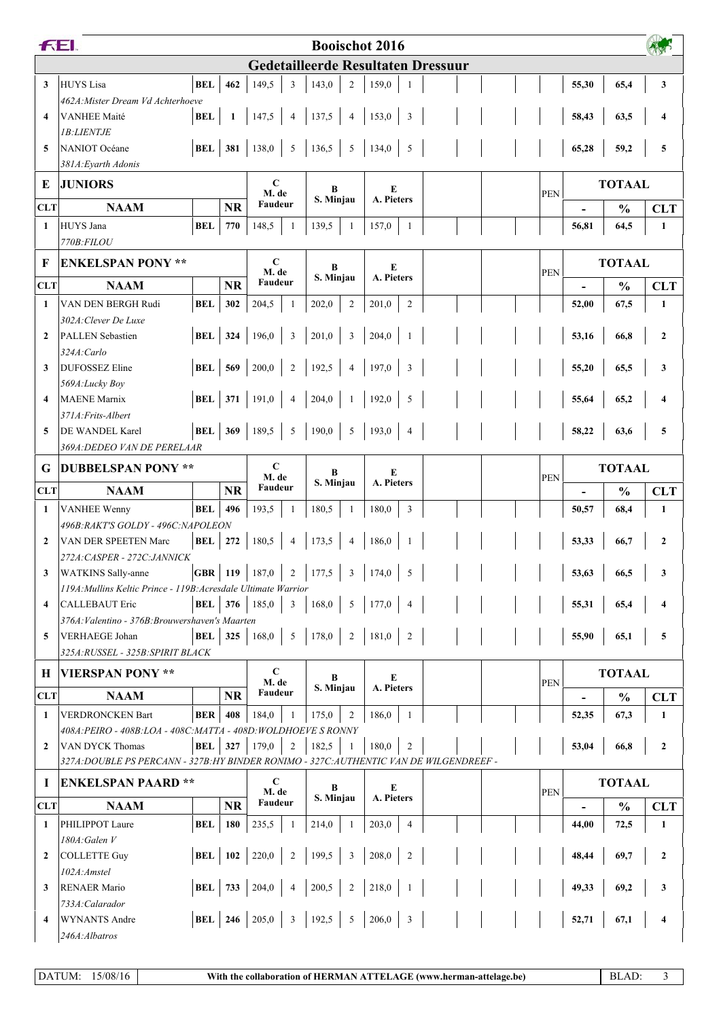| <b>Gedetailleerde Resultaten Dressuur</b><br>149,5<br>3<br><b>HUYS</b> Lisa<br><b>BEL</b><br>462<br>3<br>143,0<br>$\overline{2}$<br>159,0<br>65,4<br>3<br>55,30<br>462A: Mister Dream Vd Achterhoeve<br>137,5<br><b>BEL</b><br>147,5<br>$\overline{4}$<br>$\overline{4}$<br>153,0<br>3<br>$\overline{\mathbf{4}}$<br><b>VANHEE Maité</b><br>$\mathbf{1}$<br>58,43<br>63,5<br>4<br><b>IB:LIENTJE</b><br><b>BEL</b> 381<br>138,0<br>136,5<br>5<br>NANIOT Océane<br>5<br>134,0<br>5<br>65,28<br>59,2<br>5<br>5<br>381A: Eyarth Adonis<br>$\mathbf C$<br><b>JUNIORS</b><br><b>TOTAAL</b><br>E<br>E<br>B<br>M. de<br><b>PEN</b><br>A. Pieters<br>S. Minjau<br>Faudeur<br><b>CLT</b><br><b>NAAM</b><br><b>NR</b><br>$\frac{0}{0}$<br><b>CLT</b><br><b>BEL</b><br>HUYS Jana<br>770<br>148,5<br>139,5<br>157,0<br>64,5<br>$\mathbf{1}$<br>1<br>56,81<br>1<br>$\mathbf{1}$<br>-1<br>770B:FILOU<br>C<br><b>TOTAAL</b><br><b>ENKELSPAN PONY **</b><br>F<br>B<br>E<br>M. de<br><b>PEN</b><br>A. Pieters<br>S. Minjau<br>Faudeur<br><b>NR</b><br><b>CLT</b><br><b>NAAM</b><br>$\frac{0}{0}$<br><b>CLT</b><br>VAN DEN BERGH Rudi<br><b>BEL</b><br>302<br>204,5<br>$\overline{2}$<br>$\overline{2}$<br>67,5<br>$\mathbf{1}$<br>202,0<br>201,0<br>52,00<br>1<br>-1<br>302A: Clever De Luxe<br><b>BEL</b><br>324<br>196,0<br>201,0<br><b>PALLEN Sebastien</b><br>3<br>$\overline{3}$<br>204,0<br>53,16<br>$\mathbf{2}$<br>$\mathbf{2}$<br>66,8<br>$\overline{1}$<br>324A:Carlo<br><b>BEL</b><br>200,0<br>192,5<br>197,0<br><b>DUFOSSEZ Eline</b><br>569<br>$\overline{2}$<br>3<br>55,20<br>65,5<br>$\overline{4}$<br>3<br>3<br>569A:Lucky Boy<br>BEL $371$<br><b>MAENE</b> Marnix<br>191,0<br>204,0<br>192,0<br>5<br>65,2<br>$\overline{\mathbf{4}}$<br>55,64<br>4<br>4<br>371A: Frits-Albert<br><b>BEL</b> 369 189,5<br>190,0<br>DE WANDEL Karel<br>5<br>5<br>193,0<br>58,22<br>63,6<br>5<br>5<br>$\overline{4}$<br>369A: DEDEO VAN DE PERELAAR<br>$\mathbf C$<br><b>TOTAAL</b><br><b>DUBBELSPAN PONY **</b><br>G<br>E<br>B<br>M. de<br><b>PEN</b><br>S. Minjau<br>A. Pieters<br>Faudeur<br><b>NAAM</b><br><b>NR</b><br>$\frac{0}{0}$<br><b>CLT</b><br><b>CLT</b><br><b>BEL</b><br>496<br><b>VANHEE Wenny</b><br>193,5<br>180,5<br>180,0<br>$\overline{3}$<br>68,4<br>1<br>50,57<br>1<br>-1<br>-1<br>496B: RAKT'S GOLDY - 496C: NAPOLEON<br>180,5<br>173,5<br>BEL<br>272<br>$\overline{4}$<br>186,0<br>53,33<br>66,7<br>VAN DER SPEETEN Marc<br>$\overline{4}$<br>$\boldsymbol{2}$<br>$\mathbf{2}$<br>272A: CASPER - 272C: JANNICK<br>2   177,5   3   174,0<br><b>GBR</b>   119   187,0  <br>$\sqrt{5}$<br>53,63<br>66,5<br><b>WATKINS</b> Sally-anne<br>$\mathbf{3}$<br>3<br>119A: Mullins Keltic Prince - 119B: Acresdale Ultimate Warrior<br>BEL $376$<br>185,0<br>$5\overline{)}$<br>168,0<br>177,0<br><b>CALLEBAUT Eric</b><br>3<br>$\overline{4}$<br>55,31<br>65,4<br>4<br>4<br>376A: Valentino - 376B: Brouwershaven's Maarten<br>181,0<br>$\overline{2}$<br>168,0<br>178,0<br>2<br>55,90<br><b>BEL</b><br>325<br>5<br>65,1<br>VERHAEGE Johan<br>5<br>5<br>325A:RUSSEL - 325B:SPIRIT BLACK<br>$\mathbf C$<br><b>TOTAAL</b><br><b>VIERSPAN PONY **</b><br>Н<br>B<br>E<br>M. de<br><b>PEN</b><br>S. Minjau<br>A. Pieters<br>Faudeur<br><b>NAAM</b><br><b>NR</b><br><b>CLT</b><br>$\frac{0}{0}$<br><b>CLT</b><br>$\overline{2}$<br><b>VERDRONCKEN Bart</b><br>BER<br>408<br>184,0<br>175,0<br>186,0<br>52,35<br>67,3<br>1<br>1<br>1<br>-1<br>408A: PEIRO - 408B: LOA - 408C: MATTA - 408D: WOLDHOEVE S RONNY<br><b>BEL</b><br>179,0<br>182,5<br>327<br>2<br>53,04<br>VAN DYCK Thomas<br>180,0<br>$\overline{2}$<br>$\mathbf{2}$<br>$\overline{2}$<br>66,8<br>327A:DOUBLE PS PERCANN - 327B:HY BINDER RONIMO - 327C:AUTHENTIC VAN DE WILGENDREEF -<br>C<br><b>TOTAAL</b><br><b>ENKELSPAN PAARD **</b><br>1<br>B<br>E<br><b>PEN</b><br>M. de<br>S. Minjau<br>A. Pieters<br>Faudeur<br><b>NR</b><br><b>NAAM</b><br><b>CLT</b><br>$\frac{0}{0}$<br><b>CLT</b><br>214,0<br>203,0<br>PHILIPPOT Laure<br>BEL<br>180<br>235,5<br>$\overline{4}$<br>44,00<br>72,5<br>1<br>-1<br>1<br>-1<br>180A: Galen V<br><b>BEL</b>   102<br>220,0<br>199,5<br>208,0<br>3<br>$\overline{2}$<br>48,44<br>69,7<br><b>COLLETTE Guy</b><br>$\overline{2}$<br>$\overline{2}$<br>$\overline{2}$<br>102A:Amstel<br><b>BEL</b> 733<br>218,0<br>200,5<br>49,33<br>69,2<br><b>RENAER Mario</b><br>$\overline{c}$<br>3<br>204,0<br>3<br>$\overline{4}$<br>733A: Calarador<br>$192,5$ 5<br>206,0<br><b>BEL</b>   246   205,0<br>$\mathbf{3}$<br>$\overline{3}$<br>52,71<br>67,1<br><b>WYNANTS Andre</b><br>4<br>$\overline{\mathbf{4}}$<br>246A:Albatros | <b>FEI.</b><br><b>Booischot 2016</b> |  |  |  |  |  |  |  |  |  |  |  |  |  |
|------------------------------------------------------------------------------------------------------------------------------------------------------------------------------------------------------------------------------------------------------------------------------------------------------------------------------------------------------------------------------------------------------------------------------------------------------------------------------------------------------------------------------------------------------------------------------------------------------------------------------------------------------------------------------------------------------------------------------------------------------------------------------------------------------------------------------------------------------------------------------------------------------------------------------------------------------------------------------------------------------------------------------------------------------------------------------------------------------------------------------------------------------------------------------------------------------------------------------------------------------------------------------------------------------------------------------------------------------------------------------------------------------------------------------------------------------------------------------------------------------------------------------------------------------------------------------------------------------------------------------------------------------------------------------------------------------------------------------------------------------------------------------------------------------------------------------------------------------------------------------------------------------------------------------------------------------------------------------------------------------------------------------------------------------------------------------------------------------------------------------------------------------------------------------------------------------------------------------------------------------------------------------------------------------------------------------------------------------------------------------------------------------------------------------------------------------------------------------------------------------------------------------------------------------------------------------------------------------------------------------------------------------------------------------------------------------------------------------------------------------------------------------------------------------------------------------------------------------------------------------------------------------------------------------------------------------------------------------------------------------------------------------------------------------------------------------------------------------------------------------------------------------------------------------------------------------------------------------------------------------------------------------------------------------------------------------------------------------------------------------------------------------------------------------------------------------------------------------------------------------------------------------------------------------------------------------------------------------------------------------------------------------------------------------------------------------------------------------------------------------------------------------------------------------------------------------------------------------------------------------------------------------------------------------------------------------------------------------------------------------------------------------------------------------------------------------------------------------------------------------------------------------------------------------------------------------------------------------------------------------------------------------------------------------------------------------------------------------------------------------------------------------------------------------------------------------------------------------------------------------------------------------------------------------------------------------------------------------------|--------------------------------------|--|--|--|--|--|--|--|--|--|--|--|--|--|
|                                                                                                                                                                                                                                                                                                                                                                                                                                                                                                                                                                                                                                                                                                                                                                                                                                                                                                                                                                                                                                                                                                                                                                                                                                                                                                                                                                                                                                                                                                                                                                                                                                                                                                                                                                                                                                                                                                                                                                                                                                                                                                                                                                                                                                                                                                                                                                                                                                                                                                                                                                                                                                                                                                                                                                                                                                                                                                                                                                                                                                                                                                                                                                                                                                                                                                                                                                                                                                                                                                                                                                                                                                                                                                                                                                                                                                                                                                                                                                                                                                                                                                                                                                                                                                                                                                                                                                                                                                                                                                                                                                                                            |                                      |  |  |  |  |  |  |  |  |  |  |  |  |  |
|                                                                                                                                                                                                                                                                                                                                                                                                                                                                                                                                                                                                                                                                                                                                                                                                                                                                                                                                                                                                                                                                                                                                                                                                                                                                                                                                                                                                                                                                                                                                                                                                                                                                                                                                                                                                                                                                                                                                                                                                                                                                                                                                                                                                                                                                                                                                                                                                                                                                                                                                                                                                                                                                                                                                                                                                                                                                                                                                                                                                                                                                                                                                                                                                                                                                                                                                                                                                                                                                                                                                                                                                                                                                                                                                                                                                                                                                                                                                                                                                                                                                                                                                                                                                                                                                                                                                                                                                                                                                                                                                                                                                            |                                      |  |  |  |  |  |  |  |  |  |  |  |  |  |
|                                                                                                                                                                                                                                                                                                                                                                                                                                                                                                                                                                                                                                                                                                                                                                                                                                                                                                                                                                                                                                                                                                                                                                                                                                                                                                                                                                                                                                                                                                                                                                                                                                                                                                                                                                                                                                                                                                                                                                                                                                                                                                                                                                                                                                                                                                                                                                                                                                                                                                                                                                                                                                                                                                                                                                                                                                                                                                                                                                                                                                                                                                                                                                                                                                                                                                                                                                                                                                                                                                                                                                                                                                                                                                                                                                                                                                                                                                                                                                                                                                                                                                                                                                                                                                                                                                                                                                                                                                                                                                                                                                                                            |                                      |  |  |  |  |  |  |  |  |  |  |  |  |  |
|                                                                                                                                                                                                                                                                                                                                                                                                                                                                                                                                                                                                                                                                                                                                                                                                                                                                                                                                                                                                                                                                                                                                                                                                                                                                                                                                                                                                                                                                                                                                                                                                                                                                                                                                                                                                                                                                                                                                                                                                                                                                                                                                                                                                                                                                                                                                                                                                                                                                                                                                                                                                                                                                                                                                                                                                                                                                                                                                                                                                                                                                                                                                                                                                                                                                                                                                                                                                                                                                                                                                                                                                                                                                                                                                                                                                                                                                                                                                                                                                                                                                                                                                                                                                                                                                                                                                                                                                                                                                                                                                                                                                            |                                      |  |  |  |  |  |  |  |  |  |  |  |  |  |
|                                                                                                                                                                                                                                                                                                                                                                                                                                                                                                                                                                                                                                                                                                                                                                                                                                                                                                                                                                                                                                                                                                                                                                                                                                                                                                                                                                                                                                                                                                                                                                                                                                                                                                                                                                                                                                                                                                                                                                                                                                                                                                                                                                                                                                                                                                                                                                                                                                                                                                                                                                                                                                                                                                                                                                                                                                                                                                                                                                                                                                                                                                                                                                                                                                                                                                                                                                                                                                                                                                                                                                                                                                                                                                                                                                                                                                                                                                                                                                                                                                                                                                                                                                                                                                                                                                                                                                                                                                                                                                                                                                                                            |                                      |  |  |  |  |  |  |  |  |  |  |  |  |  |
|                                                                                                                                                                                                                                                                                                                                                                                                                                                                                                                                                                                                                                                                                                                                                                                                                                                                                                                                                                                                                                                                                                                                                                                                                                                                                                                                                                                                                                                                                                                                                                                                                                                                                                                                                                                                                                                                                                                                                                                                                                                                                                                                                                                                                                                                                                                                                                                                                                                                                                                                                                                                                                                                                                                                                                                                                                                                                                                                                                                                                                                                                                                                                                                                                                                                                                                                                                                                                                                                                                                                                                                                                                                                                                                                                                                                                                                                                                                                                                                                                                                                                                                                                                                                                                                                                                                                                                                                                                                                                                                                                                                                            |                                      |  |  |  |  |  |  |  |  |  |  |  |  |  |
|                                                                                                                                                                                                                                                                                                                                                                                                                                                                                                                                                                                                                                                                                                                                                                                                                                                                                                                                                                                                                                                                                                                                                                                                                                                                                                                                                                                                                                                                                                                                                                                                                                                                                                                                                                                                                                                                                                                                                                                                                                                                                                                                                                                                                                                                                                                                                                                                                                                                                                                                                                                                                                                                                                                                                                                                                                                                                                                                                                                                                                                                                                                                                                                                                                                                                                                                                                                                                                                                                                                                                                                                                                                                                                                                                                                                                                                                                                                                                                                                                                                                                                                                                                                                                                                                                                                                                                                                                                                                                                                                                                                                            |                                      |  |  |  |  |  |  |  |  |  |  |  |  |  |
|                                                                                                                                                                                                                                                                                                                                                                                                                                                                                                                                                                                                                                                                                                                                                                                                                                                                                                                                                                                                                                                                                                                                                                                                                                                                                                                                                                                                                                                                                                                                                                                                                                                                                                                                                                                                                                                                                                                                                                                                                                                                                                                                                                                                                                                                                                                                                                                                                                                                                                                                                                                                                                                                                                                                                                                                                                                                                                                                                                                                                                                                                                                                                                                                                                                                                                                                                                                                                                                                                                                                                                                                                                                                                                                                                                                                                                                                                                                                                                                                                                                                                                                                                                                                                                                                                                                                                                                                                                                                                                                                                                                                            |                                      |  |  |  |  |  |  |  |  |  |  |  |  |  |
|                                                                                                                                                                                                                                                                                                                                                                                                                                                                                                                                                                                                                                                                                                                                                                                                                                                                                                                                                                                                                                                                                                                                                                                                                                                                                                                                                                                                                                                                                                                                                                                                                                                                                                                                                                                                                                                                                                                                                                                                                                                                                                                                                                                                                                                                                                                                                                                                                                                                                                                                                                                                                                                                                                                                                                                                                                                                                                                                                                                                                                                                                                                                                                                                                                                                                                                                                                                                                                                                                                                                                                                                                                                                                                                                                                                                                                                                                                                                                                                                                                                                                                                                                                                                                                                                                                                                                                                                                                                                                                                                                                                                            |                                      |  |  |  |  |  |  |  |  |  |  |  |  |  |
|                                                                                                                                                                                                                                                                                                                                                                                                                                                                                                                                                                                                                                                                                                                                                                                                                                                                                                                                                                                                                                                                                                                                                                                                                                                                                                                                                                                                                                                                                                                                                                                                                                                                                                                                                                                                                                                                                                                                                                                                                                                                                                                                                                                                                                                                                                                                                                                                                                                                                                                                                                                                                                                                                                                                                                                                                                                                                                                                                                                                                                                                                                                                                                                                                                                                                                                                                                                                                                                                                                                                                                                                                                                                                                                                                                                                                                                                                                                                                                                                                                                                                                                                                                                                                                                                                                                                                                                                                                                                                                                                                                                                            |                                      |  |  |  |  |  |  |  |  |  |  |  |  |  |
|                                                                                                                                                                                                                                                                                                                                                                                                                                                                                                                                                                                                                                                                                                                                                                                                                                                                                                                                                                                                                                                                                                                                                                                                                                                                                                                                                                                                                                                                                                                                                                                                                                                                                                                                                                                                                                                                                                                                                                                                                                                                                                                                                                                                                                                                                                                                                                                                                                                                                                                                                                                                                                                                                                                                                                                                                                                                                                                                                                                                                                                                                                                                                                                                                                                                                                                                                                                                                                                                                                                                                                                                                                                                                                                                                                                                                                                                                                                                                                                                                                                                                                                                                                                                                                                                                                                                                                                                                                                                                                                                                                                                            |                                      |  |  |  |  |  |  |  |  |  |  |  |  |  |
|                                                                                                                                                                                                                                                                                                                                                                                                                                                                                                                                                                                                                                                                                                                                                                                                                                                                                                                                                                                                                                                                                                                                                                                                                                                                                                                                                                                                                                                                                                                                                                                                                                                                                                                                                                                                                                                                                                                                                                                                                                                                                                                                                                                                                                                                                                                                                                                                                                                                                                                                                                                                                                                                                                                                                                                                                                                                                                                                                                                                                                                                                                                                                                                                                                                                                                                                                                                                                                                                                                                                                                                                                                                                                                                                                                                                                                                                                                                                                                                                                                                                                                                                                                                                                                                                                                                                                                                                                                                                                                                                                                                                            |                                      |  |  |  |  |  |  |  |  |  |  |  |  |  |
|                                                                                                                                                                                                                                                                                                                                                                                                                                                                                                                                                                                                                                                                                                                                                                                                                                                                                                                                                                                                                                                                                                                                                                                                                                                                                                                                                                                                                                                                                                                                                                                                                                                                                                                                                                                                                                                                                                                                                                                                                                                                                                                                                                                                                                                                                                                                                                                                                                                                                                                                                                                                                                                                                                                                                                                                                                                                                                                                                                                                                                                                                                                                                                                                                                                                                                                                                                                                                                                                                                                                                                                                                                                                                                                                                                                                                                                                                                                                                                                                                                                                                                                                                                                                                                                                                                                                                                                                                                                                                                                                                                                                            |                                      |  |  |  |  |  |  |  |  |  |  |  |  |  |
|                                                                                                                                                                                                                                                                                                                                                                                                                                                                                                                                                                                                                                                                                                                                                                                                                                                                                                                                                                                                                                                                                                                                                                                                                                                                                                                                                                                                                                                                                                                                                                                                                                                                                                                                                                                                                                                                                                                                                                                                                                                                                                                                                                                                                                                                                                                                                                                                                                                                                                                                                                                                                                                                                                                                                                                                                                                                                                                                                                                                                                                                                                                                                                                                                                                                                                                                                                                                                                                                                                                                                                                                                                                                                                                                                                                                                                                                                                                                                                                                                                                                                                                                                                                                                                                                                                                                                                                                                                                                                                                                                                                                            |                                      |  |  |  |  |  |  |  |  |  |  |  |  |  |
|                                                                                                                                                                                                                                                                                                                                                                                                                                                                                                                                                                                                                                                                                                                                                                                                                                                                                                                                                                                                                                                                                                                                                                                                                                                                                                                                                                                                                                                                                                                                                                                                                                                                                                                                                                                                                                                                                                                                                                                                                                                                                                                                                                                                                                                                                                                                                                                                                                                                                                                                                                                                                                                                                                                                                                                                                                                                                                                                                                                                                                                                                                                                                                                                                                                                                                                                                                                                                                                                                                                                                                                                                                                                                                                                                                                                                                                                                                                                                                                                                                                                                                                                                                                                                                                                                                                                                                                                                                                                                                                                                                                                            |                                      |  |  |  |  |  |  |  |  |  |  |  |  |  |
|                                                                                                                                                                                                                                                                                                                                                                                                                                                                                                                                                                                                                                                                                                                                                                                                                                                                                                                                                                                                                                                                                                                                                                                                                                                                                                                                                                                                                                                                                                                                                                                                                                                                                                                                                                                                                                                                                                                                                                                                                                                                                                                                                                                                                                                                                                                                                                                                                                                                                                                                                                                                                                                                                                                                                                                                                                                                                                                                                                                                                                                                                                                                                                                                                                                                                                                                                                                                                                                                                                                                                                                                                                                                                                                                                                                                                                                                                                                                                                                                                                                                                                                                                                                                                                                                                                                                                                                                                                                                                                                                                                                                            |                                      |  |  |  |  |  |  |  |  |  |  |  |  |  |
|                                                                                                                                                                                                                                                                                                                                                                                                                                                                                                                                                                                                                                                                                                                                                                                                                                                                                                                                                                                                                                                                                                                                                                                                                                                                                                                                                                                                                                                                                                                                                                                                                                                                                                                                                                                                                                                                                                                                                                                                                                                                                                                                                                                                                                                                                                                                                                                                                                                                                                                                                                                                                                                                                                                                                                                                                                                                                                                                                                                                                                                                                                                                                                                                                                                                                                                                                                                                                                                                                                                                                                                                                                                                                                                                                                                                                                                                                                                                                                                                                                                                                                                                                                                                                                                                                                                                                                                                                                                                                                                                                                                                            |                                      |  |  |  |  |  |  |  |  |  |  |  |  |  |
|                                                                                                                                                                                                                                                                                                                                                                                                                                                                                                                                                                                                                                                                                                                                                                                                                                                                                                                                                                                                                                                                                                                                                                                                                                                                                                                                                                                                                                                                                                                                                                                                                                                                                                                                                                                                                                                                                                                                                                                                                                                                                                                                                                                                                                                                                                                                                                                                                                                                                                                                                                                                                                                                                                                                                                                                                                                                                                                                                                                                                                                                                                                                                                                                                                                                                                                                                                                                                                                                                                                                                                                                                                                                                                                                                                                                                                                                                                                                                                                                                                                                                                                                                                                                                                                                                                                                                                                                                                                                                                                                                                                                            |                                      |  |  |  |  |  |  |  |  |  |  |  |  |  |
|                                                                                                                                                                                                                                                                                                                                                                                                                                                                                                                                                                                                                                                                                                                                                                                                                                                                                                                                                                                                                                                                                                                                                                                                                                                                                                                                                                                                                                                                                                                                                                                                                                                                                                                                                                                                                                                                                                                                                                                                                                                                                                                                                                                                                                                                                                                                                                                                                                                                                                                                                                                                                                                                                                                                                                                                                                                                                                                                                                                                                                                                                                                                                                                                                                                                                                                                                                                                                                                                                                                                                                                                                                                                                                                                                                                                                                                                                                                                                                                                                                                                                                                                                                                                                                                                                                                                                                                                                                                                                                                                                                                                            |                                      |  |  |  |  |  |  |  |  |  |  |  |  |  |
|                                                                                                                                                                                                                                                                                                                                                                                                                                                                                                                                                                                                                                                                                                                                                                                                                                                                                                                                                                                                                                                                                                                                                                                                                                                                                                                                                                                                                                                                                                                                                                                                                                                                                                                                                                                                                                                                                                                                                                                                                                                                                                                                                                                                                                                                                                                                                                                                                                                                                                                                                                                                                                                                                                                                                                                                                                                                                                                                                                                                                                                                                                                                                                                                                                                                                                                                                                                                                                                                                                                                                                                                                                                                                                                                                                                                                                                                                                                                                                                                                                                                                                                                                                                                                                                                                                                                                                                                                                                                                                                                                                                                            |                                      |  |  |  |  |  |  |  |  |  |  |  |  |  |
|                                                                                                                                                                                                                                                                                                                                                                                                                                                                                                                                                                                                                                                                                                                                                                                                                                                                                                                                                                                                                                                                                                                                                                                                                                                                                                                                                                                                                                                                                                                                                                                                                                                                                                                                                                                                                                                                                                                                                                                                                                                                                                                                                                                                                                                                                                                                                                                                                                                                                                                                                                                                                                                                                                                                                                                                                                                                                                                                                                                                                                                                                                                                                                                                                                                                                                                                                                                                                                                                                                                                                                                                                                                                                                                                                                                                                                                                                                                                                                                                                                                                                                                                                                                                                                                                                                                                                                                                                                                                                                                                                                                                            |                                      |  |  |  |  |  |  |  |  |  |  |  |  |  |
|                                                                                                                                                                                                                                                                                                                                                                                                                                                                                                                                                                                                                                                                                                                                                                                                                                                                                                                                                                                                                                                                                                                                                                                                                                                                                                                                                                                                                                                                                                                                                                                                                                                                                                                                                                                                                                                                                                                                                                                                                                                                                                                                                                                                                                                                                                                                                                                                                                                                                                                                                                                                                                                                                                                                                                                                                                                                                                                                                                                                                                                                                                                                                                                                                                                                                                                                                                                                                                                                                                                                                                                                                                                                                                                                                                                                                                                                                                                                                                                                                                                                                                                                                                                                                                                                                                                                                                                                                                                                                                                                                                                                            |                                      |  |  |  |  |  |  |  |  |  |  |  |  |  |
|                                                                                                                                                                                                                                                                                                                                                                                                                                                                                                                                                                                                                                                                                                                                                                                                                                                                                                                                                                                                                                                                                                                                                                                                                                                                                                                                                                                                                                                                                                                                                                                                                                                                                                                                                                                                                                                                                                                                                                                                                                                                                                                                                                                                                                                                                                                                                                                                                                                                                                                                                                                                                                                                                                                                                                                                                                                                                                                                                                                                                                                                                                                                                                                                                                                                                                                                                                                                                                                                                                                                                                                                                                                                                                                                                                                                                                                                                                                                                                                                                                                                                                                                                                                                                                                                                                                                                                                                                                                                                                                                                                                                            |                                      |  |  |  |  |  |  |  |  |  |  |  |  |  |
|                                                                                                                                                                                                                                                                                                                                                                                                                                                                                                                                                                                                                                                                                                                                                                                                                                                                                                                                                                                                                                                                                                                                                                                                                                                                                                                                                                                                                                                                                                                                                                                                                                                                                                                                                                                                                                                                                                                                                                                                                                                                                                                                                                                                                                                                                                                                                                                                                                                                                                                                                                                                                                                                                                                                                                                                                                                                                                                                                                                                                                                                                                                                                                                                                                                                                                                                                                                                                                                                                                                                                                                                                                                                                                                                                                                                                                                                                                                                                                                                                                                                                                                                                                                                                                                                                                                                                                                                                                                                                                                                                                                                            |                                      |  |  |  |  |  |  |  |  |  |  |  |  |  |
|                                                                                                                                                                                                                                                                                                                                                                                                                                                                                                                                                                                                                                                                                                                                                                                                                                                                                                                                                                                                                                                                                                                                                                                                                                                                                                                                                                                                                                                                                                                                                                                                                                                                                                                                                                                                                                                                                                                                                                                                                                                                                                                                                                                                                                                                                                                                                                                                                                                                                                                                                                                                                                                                                                                                                                                                                                                                                                                                                                                                                                                                                                                                                                                                                                                                                                                                                                                                                                                                                                                                                                                                                                                                                                                                                                                                                                                                                                                                                                                                                                                                                                                                                                                                                                                                                                                                                                                                                                                                                                                                                                                                            |                                      |  |  |  |  |  |  |  |  |  |  |  |  |  |
|                                                                                                                                                                                                                                                                                                                                                                                                                                                                                                                                                                                                                                                                                                                                                                                                                                                                                                                                                                                                                                                                                                                                                                                                                                                                                                                                                                                                                                                                                                                                                                                                                                                                                                                                                                                                                                                                                                                                                                                                                                                                                                                                                                                                                                                                                                                                                                                                                                                                                                                                                                                                                                                                                                                                                                                                                                                                                                                                                                                                                                                                                                                                                                                                                                                                                                                                                                                                                                                                                                                                                                                                                                                                                                                                                                                                                                                                                                                                                                                                                                                                                                                                                                                                                                                                                                                                                                                                                                                                                                                                                                                                            |                                      |  |  |  |  |  |  |  |  |  |  |  |  |  |
|                                                                                                                                                                                                                                                                                                                                                                                                                                                                                                                                                                                                                                                                                                                                                                                                                                                                                                                                                                                                                                                                                                                                                                                                                                                                                                                                                                                                                                                                                                                                                                                                                                                                                                                                                                                                                                                                                                                                                                                                                                                                                                                                                                                                                                                                                                                                                                                                                                                                                                                                                                                                                                                                                                                                                                                                                                                                                                                                                                                                                                                                                                                                                                                                                                                                                                                                                                                                                                                                                                                                                                                                                                                                                                                                                                                                                                                                                                                                                                                                                                                                                                                                                                                                                                                                                                                                                                                                                                                                                                                                                                                                            |                                      |  |  |  |  |  |  |  |  |  |  |  |  |  |
|                                                                                                                                                                                                                                                                                                                                                                                                                                                                                                                                                                                                                                                                                                                                                                                                                                                                                                                                                                                                                                                                                                                                                                                                                                                                                                                                                                                                                                                                                                                                                                                                                                                                                                                                                                                                                                                                                                                                                                                                                                                                                                                                                                                                                                                                                                                                                                                                                                                                                                                                                                                                                                                                                                                                                                                                                                                                                                                                                                                                                                                                                                                                                                                                                                                                                                                                                                                                                                                                                                                                                                                                                                                                                                                                                                                                                                                                                                                                                                                                                                                                                                                                                                                                                                                                                                                                                                                                                                                                                                                                                                                                            |                                      |  |  |  |  |  |  |  |  |  |  |  |  |  |
|                                                                                                                                                                                                                                                                                                                                                                                                                                                                                                                                                                                                                                                                                                                                                                                                                                                                                                                                                                                                                                                                                                                                                                                                                                                                                                                                                                                                                                                                                                                                                                                                                                                                                                                                                                                                                                                                                                                                                                                                                                                                                                                                                                                                                                                                                                                                                                                                                                                                                                                                                                                                                                                                                                                                                                                                                                                                                                                                                                                                                                                                                                                                                                                                                                                                                                                                                                                                                                                                                                                                                                                                                                                                                                                                                                                                                                                                                                                                                                                                                                                                                                                                                                                                                                                                                                                                                                                                                                                                                                                                                                                                            |                                      |  |  |  |  |  |  |  |  |  |  |  |  |  |
|                                                                                                                                                                                                                                                                                                                                                                                                                                                                                                                                                                                                                                                                                                                                                                                                                                                                                                                                                                                                                                                                                                                                                                                                                                                                                                                                                                                                                                                                                                                                                                                                                                                                                                                                                                                                                                                                                                                                                                                                                                                                                                                                                                                                                                                                                                                                                                                                                                                                                                                                                                                                                                                                                                                                                                                                                                                                                                                                                                                                                                                                                                                                                                                                                                                                                                                                                                                                                                                                                                                                                                                                                                                                                                                                                                                                                                                                                                                                                                                                                                                                                                                                                                                                                                                                                                                                                                                                                                                                                                                                                                                                            |                                      |  |  |  |  |  |  |  |  |  |  |  |  |  |
|                                                                                                                                                                                                                                                                                                                                                                                                                                                                                                                                                                                                                                                                                                                                                                                                                                                                                                                                                                                                                                                                                                                                                                                                                                                                                                                                                                                                                                                                                                                                                                                                                                                                                                                                                                                                                                                                                                                                                                                                                                                                                                                                                                                                                                                                                                                                                                                                                                                                                                                                                                                                                                                                                                                                                                                                                                                                                                                                                                                                                                                                                                                                                                                                                                                                                                                                                                                                                                                                                                                                                                                                                                                                                                                                                                                                                                                                                                                                                                                                                                                                                                                                                                                                                                                                                                                                                                                                                                                                                                                                                                                                            |                                      |  |  |  |  |  |  |  |  |  |  |  |  |  |
|                                                                                                                                                                                                                                                                                                                                                                                                                                                                                                                                                                                                                                                                                                                                                                                                                                                                                                                                                                                                                                                                                                                                                                                                                                                                                                                                                                                                                                                                                                                                                                                                                                                                                                                                                                                                                                                                                                                                                                                                                                                                                                                                                                                                                                                                                                                                                                                                                                                                                                                                                                                                                                                                                                                                                                                                                                                                                                                                                                                                                                                                                                                                                                                                                                                                                                                                                                                                                                                                                                                                                                                                                                                                                                                                                                                                                                                                                                                                                                                                                                                                                                                                                                                                                                                                                                                                                                                                                                                                                                                                                                                                            |                                      |  |  |  |  |  |  |  |  |  |  |  |  |  |
|                                                                                                                                                                                                                                                                                                                                                                                                                                                                                                                                                                                                                                                                                                                                                                                                                                                                                                                                                                                                                                                                                                                                                                                                                                                                                                                                                                                                                                                                                                                                                                                                                                                                                                                                                                                                                                                                                                                                                                                                                                                                                                                                                                                                                                                                                                                                                                                                                                                                                                                                                                                                                                                                                                                                                                                                                                                                                                                                                                                                                                                                                                                                                                                                                                                                                                                                                                                                                                                                                                                                                                                                                                                                                                                                                                                                                                                                                                                                                                                                                                                                                                                                                                                                                                                                                                                                                                                                                                                                                                                                                                                                            |                                      |  |  |  |  |  |  |  |  |  |  |  |  |  |
|                                                                                                                                                                                                                                                                                                                                                                                                                                                                                                                                                                                                                                                                                                                                                                                                                                                                                                                                                                                                                                                                                                                                                                                                                                                                                                                                                                                                                                                                                                                                                                                                                                                                                                                                                                                                                                                                                                                                                                                                                                                                                                                                                                                                                                                                                                                                                                                                                                                                                                                                                                                                                                                                                                                                                                                                                                                                                                                                                                                                                                                                                                                                                                                                                                                                                                                                                                                                                                                                                                                                                                                                                                                                                                                                                                                                                                                                                                                                                                                                                                                                                                                                                                                                                                                                                                                                                                                                                                                                                                                                                                                                            |                                      |  |  |  |  |  |  |  |  |  |  |  |  |  |
|                                                                                                                                                                                                                                                                                                                                                                                                                                                                                                                                                                                                                                                                                                                                                                                                                                                                                                                                                                                                                                                                                                                                                                                                                                                                                                                                                                                                                                                                                                                                                                                                                                                                                                                                                                                                                                                                                                                                                                                                                                                                                                                                                                                                                                                                                                                                                                                                                                                                                                                                                                                                                                                                                                                                                                                                                                                                                                                                                                                                                                                                                                                                                                                                                                                                                                                                                                                                                                                                                                                                                                                                                                                                                                                                                                                                                                                                                                                                                                                                                                                                                                                                                                                                                                                                                                                                                                                                                                                                                                                                                                                                            |                                      |  |  |  |  |  |  |  |  |  |  |  |  |  |
|                                                                                                                                                                                                                                                                                                                                                                                                                                                                                                                                                                                                                                                                                                                                                                                                                                                                                                                                                                                                                                                                                                                                                                                                                                                                                                                                                                                                                                                                                                                                                                                                                                                                                                                                                                                                                                                                                                                                                                                                                                                                                                                                                                                                                                                                                                                                                                                                                                                                                                                                                                                                                                                                                                                                                                                                                                                                                                                                                                                                                                                                                                                                                                                                                                                                                                                                                                                                                                                                                                                                                                                                                                                                                                                                                                                                                                                                                                                                                                                                                                                                                                                                                                                                                                                                                                                                                                                                                                                                                                                                                                                                            |                                      |  |  |  |  |  |  |  |  |  |  |  |  |  |
|                                                                                                                                                                                                                                                                                                                                                                                                                                                                                                                                                                                                                                                                                                                                                                                                                                                                                                                                                                                                                                                                                                                                                                                                                                                                                                                                                                                                                                                                                                                                                                                                                                                                                                                                                                                                                                                                                                                                                                                                                                                                                                                                                                                                                                                                                                                                                                                                                                                                                                                                                                                                                                                                                                                                                                                                                                                                                                                                                                                                                                                                                                                                                                                                                                                                                                                                                                                                                                                                                                                                                                                                                                                                                                                                                                                                                                                                                                                                                                                                                                                                                                                                                                                                                                                                                                                                                                                                                                                                                                                                                                                                            |                                      |  |  |  |  |  |  |  |  |  |  |  |  |  |
|                                                                                                                                                                                                                                                                                                                                                                                                                                                                                                                                                                                                                                                                                                                                                                                                                                                                                                                                                                                                                                                                                                                                                                                                                                                                                                                                                                                                                                                                                                                                                                                                                                                                                                                                                                                                                                                                                                                                                                                                                                                                                                                                                                                                                                                                                                                                                                                                                                                                                                                                                                                                                                                                                                                                                                                                                                                                                                                                                                                                                                                                                                                                                                                                                                                                                                                                                                                                                                                                                                                                                                                                                                                                                                                                                                                                                                                                                                                                                                                                                                                                                                                                                                                                                                                                                                                                                                                                                                                                                                                                                                                                            |                                      |  |  |  |  |  |  |  |  |  |  |  |  |  |
|                                                                                                                                                                                                                                                                                                                                                                                                                                                                                                                                                                                                                                                                                                                                                                                                                                                                                                                                                                                                                                                                                                                                                                                                                                                                                                                                                                                                                                                                                                                                                                                                                                                                                                                                                                                                                                                                                                                                                                                                                                                                                                                                                                                                                                                                                                                                                                                                                                                                                                                                                                                                                                                                                                                                                                                                                                                                                                                                                                                                                                                                                                                                                                                                                                                                                                                                                                                                                                                                                                                                                                                                                                                                                                                                                                                                                                                                                                                                                                                                                                                                                                                                                                                                                                                                                                                                                                                                                                                                                                                                                                                                            |                                      |  |  |  |  |  |  |  |  |  |  |  |  |  |
|                                                                                                                                                                                                                                                                                                                                                                                                                                                                                                                                                                                                                                                                                                                                                                                                                                                                                                                                                                                                                                                                                                                                                                                                                                                                                                                                                                                                                                                                                                                                                                                                                                                                                                                                                                                                                                                                                                                                                                                                                                                                                                                                                                                                                                                                                                                                                                                                                                                                                                                                                                                                                                                                                                                                                                                                                                                                                                                                                                                                                                                                                                                                                                                                                                                                                                                                                                                                                                                                                                                                                                                                                                                                                                                                                                                                                                                                                                                                                                                                                                                                                                                                                                                                                                                                                                                                                                                                                                                                                                                                                                                                            |                                      |  |  |  |  |  |  |  |  |  |  |  |  |  |
|                                                                                                                                                                                                                                                                                                                                                                                                                                                                                                                                                                                                                                                                                                                                                                                                                                                                                                                                                                                                                                                                                                                                                                                                                                                                                                                                                                                                                                                                                                                                                                                                                                                                                                                                                                                                                                                                                                                                                                                                                                                                                                                                                                                                                                                                                                                                                                                                                                                                                                                                                                                                                                                                                                                                                                                                                                                                                                                                                                                                                                                                                                                                                                                                                                                                                                                                                                                                                                                                                                                                                                                                                                                                                                                                                                                                                                                                                                                                                                                                                                                                                                                                                                                                                                                                                                                                                                                                                                                                                                                                                                                                            |                                      |  |  |  |  |  |  |  |  |  |  |  |  |  |
|                                                                                                                                                                                                                                                                                                                                                                                                                                                                                                                                                                                                                                                                                                                                                                                                                                                                                                                                                                                                                                                                                                                                                                                                                                                                                                                                                                                                                                                                                                                                                                                                                                                                                                                                                                                                                                                                                                                                                                                                                                                                                                                                                                                                                                                                                                                                                                                                                                                                                                                                                                                                                                                                                                                                                                                                                                                                                                                                                                                                                                                                                                                                                                                                                                                                                                                                                                                                                                                                                                                                                                                                                                                                                                                                                                                                                                                                                                                                                                                                                                                                                                                                                                                                                                                                                                                                                                                                                                                                                                                                                                                                            |                                      |  |  |  |  |  |  |  |  |  |  |  |  |  |
|                                                                                                                                                                                                                                                                                                                                                                                                                                                                                                                                                                                                                                                                                                                                                                                                                                                                                                                                                                                                                                                                                                                                                                                                                                                                                                                                                                                                                                                                                                                                                                                                                                                                                                                                                                                                                                                                                                                                                                                                                                                                                                                                                                                                                                                                                                                                                                                                                                                                                                                                                                                                                                                                                                                                                                                                                                                                                                                                                                                                                                                                                                                                                                                                                                                                                                                                                                                                                                                                                                                                                                                                                                                                                                                                                                                                                                                                                                                                                                                                                                                                                                                                                                                                                                                                                                                                                                                                                                                                                                                                                                                                            |                                      |  |  |  |  |  |  |  |  |  |  |  |  |  |
|                                                                                                                                                                                                                                                                                                                                                                                                                                                                                                                                                                                                                                                                                                                                                                                                                                                                                                                                                                                                                                                                                                                                                                                                                                                                                                                                                                                                                                                                                                                                                                                                                                                                                                                                                                                                                                                                                                                                                                                                                                                                                                                                                                                                                                                                                                                                                                                                                                                                                                                                                                                                                                                                                                                                                                                                                                                                                                                                                                                                                                                                                                                                                                                                                                                                                                                                                                                                                                                                                                                                                                                                                                                                                                                                                                                                                                                                                                                                                                                                                                                                                                                                                                                                                                                                                                                                                                                                                                                                                                                                                                                                            |                                      |  |  |  |  |  |  |  |  |  |  |  |  |  |
|                                                                                                                                                                                                                                                                                                                                                                                                                                                                                                                                                                                                                                                                                                                                                                                                                                                                                                                                                                                                                                                                                                                                                                                                                                                                                                                                                                                                                                                                                                                                                                                                                                                                                                                                                                                                                                                                                                                                                                                                                                                                                                                                                                                                                                                                                                                                                                                                                                                                                                                                                                                                                                                                                                                                                                                                                                                                                                                                                                                                                                                                                                                                                                                                                                                                                                                                                                                                                                                                                                                                                                                                                                                                                                                                                                                                                                                                                                                                                                                                                                                                                                                                                                                                                                                                                                                                                                                                                                                                                                                                                                                                            |                                      |  |  |  |  |  |  |  |  |  |  |  |  |  |
|                                                                                                                                                                                                                                                                                                                                                                                                                                                                                                                                                                                                                                                                                                                                                                                                                                                                                                                                                                                                                                                                                                                                                                                                                                                                                                                                                                                                                                                                                                                                                                                                                                                                                                                                                                                                                                                                                                                                                                                                                                                                                                                                                                                                                                                                                                                                                                                                                                                                                                                                                                                                                                                                                                                                                                                                                                                                                                                                                                                                                                                                                                                                                                                                                                                                                                                                                                                                                                                                                                                                                                                                                                                                                                                                                                                                                                                                                                                                                                                                                                                                                                                                                                                                                                                                                                                                                                                                                                                                                                                                                                                                            |                                      |  |  |  |  |  |  |  |  |  |  |  |  |  |
|                                                                                                                                                                                                                                                                                                                                                                                                                                                                                                                                                                                                                                                                                                                                                                                                                                                                                                                                                                                                                                                                                                                                                                                                                                                                                                                                                                                                                                                                                                                                                                                                                                                                                                                                                                                                                                                                                                                                                                                                                                                                                                                                                                                                                                                                                                                                                                                                                                                                                                                                                                                                                                                                                                                                                                                                                                                                                                                                                                                                                                                                                                                                                                                                                                                                                                                                                                                                                                                                                                                                                                                                                                                                                                                                                                                                                                                                                                                                                                                                                                                                                                                                                                                                                                                                                                                                                                                                                                                                                                                                                                                                            |                                      |  |  |  |  |  |  |  |  |  |  |  |  |  |
|                                                                                                                                                                                                                                                                                                                                                                                                                                                                                                                                                                                                                                                                                                                                                                                                                                                                                                                                                                                                                                                                                                                                                                                                                                                                                                                                                                                                                                                                                                                                                                                                                                                                                                                                                                                                                                                                                                                                                                                                                                                                                                                                                                                                                                                                                                                                                                                                                                                                                                                                                                                                                                                                                                                                                                                                                                                                                                                                                                                                                                                                                                                                                                                                                                                                                                                                                                                                                                                                                                                                                                                                                                                                                                                                                                                                                                                                                                                                                                                                                                                                                                                                                                                                                                                                                                                                                                                                                                                                                                                                                                                                            |                                      |  |  |  |  |  |  |  |  |  |  |  |  |  |
|                                                                                                                                                                                                                                                                                                                                                                                                                                                                                                                                                                                                                                                                                                                                                                                                                                                                                                                                                                                                                                                                                                                                                                                                                                                                                                                                                                                                                                                                                                                                                                                                                                                                                                                                                                                                                                                                                                                                                                                                                                                                                                                                                                                                                                                                                                                                                                                                                                                                                                                                                                                                                                                                                                                                                                                                                                                                                                                                                                                                                                                                                                                                                                                                                                                                                                                                                                                                                                                                                                                                                                                                                                                                                                                                                                                                                                                                                                                                                                                                                                                                                                                                                                                                                                                                                                                                                                                                                                                                                                                                                                                                            |                                      |  |  |  |  |  |  |  |  |  |  |  |  |  |
|                                                                                                                                                                                                                                                                                                                                                                                                                                                                                                                                                                                                                                                                                                                                                                                                                                                                                                                                                                                                                                                                                                                                                                                                                                                                                                                                                                                                                                                                                                                                                                                                                                                                                                                                                                                                                                                                                                                                                                                                                                                                                                                                                                                                                                                                                                                                                                                                                                                                                                                                                                                                                                                                                                                                                                                                                                                                                                                                                                                                                                                                                                                                                                                                                                                                                                                                                                                                                                                                                                                                                                                                                                                                                                                                                                                                                                                                                                                                                                                                                                                                                                                                                                                                                                                                                                                                                                                                                                                                                                                                                                                                            |                                      |  |  |  |  |  |  |  |  |  |  |  |  |  |